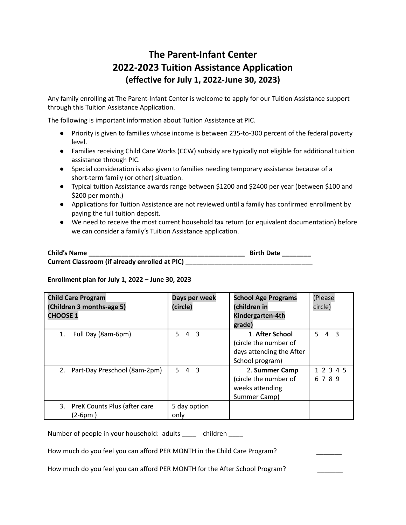## **The Parent-Infant Center 2022-2023 Tuition Assistance Application (effective for July 1, 2022-June 30, 2023)**

Any family enrolling at The Parent-Infant Center is welcome to apply for our Tuition Assistance support through this Tuition Assistance Application.

The following is important information about Tuition Assistance at PIC.

- Priority is given to families whose income is between 235-to-300 percent of the federal poverty level.
- Families receiving Child Care Works (CCW) subsidy are typically not eligible for additional tuition assistance through PIC.
- Special consideration is also given to families needing temporary assistance because of a short-term family (or other) situation.
- Typical tuition Assistance awards range between \$1200 and \$2400 per year (between \$100 and \$200 per month.)
- Applications for Tuition Assistance are not reviewed until a family has confirmed enrollment by paying the full tuition deposit.
- We need to receive the most current household tax return (or equivalent documentation) before we can consider a family's Tuition Assistance application.

| <b>Child's Name</b>                            | <b>Birth Date</b> |
|------------------------------------------------|-------------------|
| Current Classroom (if already enrolled at PIC) |                   |

## **Enrollment plan for July 1, 2022 – June 30, 2023**

| <b>Child Care Program</b><br>(Children 3 months-age 5)<br><b>CHOOSE 1</b> | Days per week<br>(circle)                       | <b>School Age Programs</b><br>(children in<br>Kindergarten-4th<br>grade)                | (Please<br>circle)     |
|---------------------------------------------------------------------------|-------------------------------------------------|-----------------------------------------------------------------------------------------|------------------------|
| Full Day (8am-6pm)<br>1.                                                  | $\overline{\mathbf{3}}$<br>5.<br>$\overline{4}$ | 1. After School<br>(circle the number of<br>days attending the After<br>School program) | 5.<br>$4 \overline{3}$ |
| 2. Part-Day Preschool (8am-2pm)                                           | 543                                             | 2. Summer Camp<br>(circle the number of<br>weeks attending<br>Summer Camp)              | 1 2 3 4 5<br>6789      |
| PreK Counts Plus (after care<br>3.<br>$(2-6pm)$                           | 5 day option<br>only                            |                                                                                         |                        |

Number of people in your household: adults \_\_\_\_ children \_\_\_\_

How much do you feel you can afford PER MONTH in the Child Care Program?

How much do you feel you can afford PER MONTH for the After School Program?